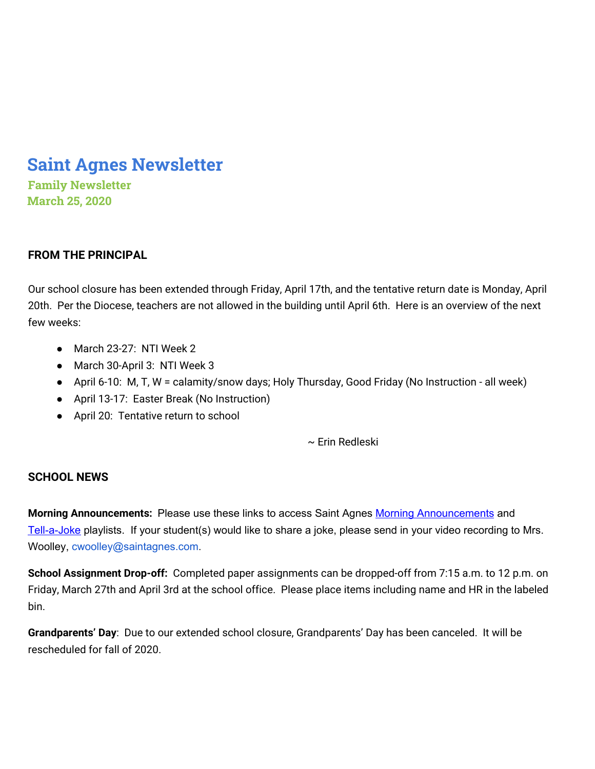# **Saint Agnes Newsletter**

**Family Newsletter March 25, 2020**

# **FROM THE PRINCIPAL**

Our school closure has been extended through Friday, April 17th, and the tentative return date is Monday, April 20th. Per the Diocese, teachers are not allowed in the building until April 6th. Here is an overview of the next few weeks:

- March 23-27: NTI Week 2
- March 30-April 3: NTI Week 3
- April 6-10: M, T, W = calamity/snow days; Holy Thursday, Good Friday (No Instruction all week)
- April 13-17: Easter Break (No Instruction)
- April 20: Tentative return to school

~ Erin Redleski

# **SCHOOL NEWS**

**Morning Announcements:** Please use these links to access Saint Agnes Morning [Announcements](https://www.youtube.com/playlist?list=PLFVaFXwRNac4H7Ba7ZFsTy0BapE18eEdT) and [Tell-a-Joke](https://www.youtube.com/playlist?list=PLFVaFXwRNac5yP7gI6lWlpxdfe7u7oY8D) playlists. If your student(s) would like to share a joke, please send in your video recording to Mrs. Woolley, cwoolley@saintagnes.com.

**School Assignment Drop-off:** Completed paper assignments can be dropped-off from 7:15 a.m. to 12 p.m. on Friday, March 27th and April 3rd at the school office. Please place items including name and HR in the labeled bin.

**Grandparents' Day**: Due to our extended school closure, Grandparents' Day has been canceled. It will be rescheduled for fall of 2020.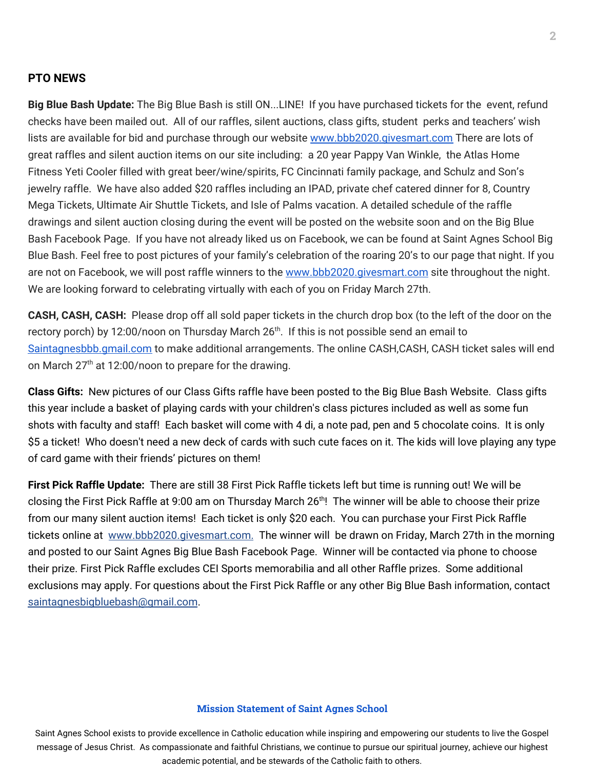## **PTO NEWS**

**Big Blue Bash Update:** The Big Blue Bash is still ON...LINE! If you have purchased tickets for the event, refund checks have been mailed out. All of our raffles, silent auctions, class gifts, student perks and teachers' wish lists are available for bid and purchase through our website [www.bbb2020.givesmart.com](http://www.bbb2020.givesmart.com/) There are lots of great raffles and silent auction items on our site including: a 20 year Pappy Van Winkle, the Atlas Home Fitness Yeti Cooler filled with great beer/wine/spirits, FC Cincinnati family package, and Schulz and Son's jewelry raffle. We have also added \$20 raffles including an IPAD, private chef catered dinner for 8, Country Mega Tickets, Ultimate Air Shuttle Tickets, and Isle of Palms vacation. A detailed schedule of the raffle drawings and silent auction closing during the event will be posted on the website soon and on the Big Blue Bash Facebook Page. If you have not already liked us on Facebook, we can be found at Saint Agnes School Big Blue Bash. Feel free to post pictures of your family's celebration of the roaring 20's to our page that night. If you are not on Facebook, we will post raffle winners to the [www.bbb2020.givesmart.com](http://www.bbb2020.givesmart.com/) site throughout the night. We are looking forward to celebrating virtually with each of you on Friday March 27th.

**CASH, CASH, CASH:** Please drop off all sold paper tickets in the church drop box (to the left of the door on the rectory porch) by 12:00/noon on Thursday March 26<sup>th</sup>. If this is not possible send an email to [Saintagnesbbb.gmail.com](http://saintagnesbbb.gmail.com/) to make additional arrangements. The online CASH,CASH, CASH ticket sales will end on March 27<sup>th</sup> at 12:00/noon to prepare for the drawing.

**Class Gifts:** New pictures of our Class Gifts raffle have been posted to the Big Blue Bash Website. Class gifts this year include a basket of playing cards with your children's class pictures included as well as some fun shots with faculty and staff! Each basket will come with 4 di, a note pad, pen and 5 chocolate coins. It is only \$5 a ticket! Who doesn't need a new deck of cards with such cute faces on it. The kids will love playing any type of card game with their friends' pictures on them!

**First Pick Raffle Update:** There are still 38 First Pick Raffle tickets left but time is running out! We will be closing the First Pick Raffle at 9:00 am on Thursday March 26<sup>th</sup>! The winner will be able to choose their prize from our many silent auction items! Each ticket is only \$20 each. You can purchase your First Pick Raffle tickets online at [www.bbb2020.givesmart.com](http://www.bbb2020.givesmart.com/). The winner will be drawn on Friday, March 27th in the morning and posted to our Saint Agnes Big Blue Bash Facebook Page. Winner will be contacted via phone to choose their prize. First Pick Raffle excludes CEI Sports memorabilia and all other Raffle prizes. Some additional exclusions may apply. For questions about the First Pick Raffle or any other Big Blue Bash information, contact saintagnesbigbluebash@gmail.com.

#### **Mission Statement of Saint Agnes School**

Saint Agnes School exists to provide excellence in Catholic education while inspiring and empowering our students to live the Gospel message of Jesus Christ. As compassionate and faithful Christians, we continue to pursue our spiritual journey, achieve our highest academic potential, and be stewards of the Catholic faith to others.